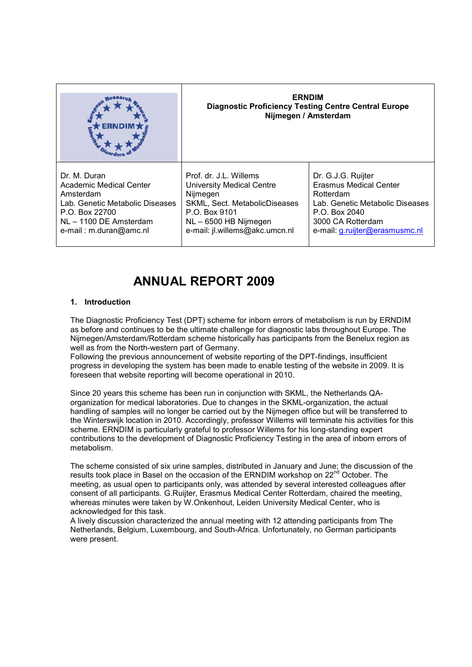|                                 | <b>ERNDIM</b><br><b>Diagnostic Proficiency Testing Centre Central Europe</b><br>Nijmegen / Amsterdam |                                 |
|---------------------------------|------------------------------------------------------------------------------------------------------|---------------------------------|
| Dr. M. Duran                    | Prof. dr. J.L. Willems                                                                               | Dr. G.J.G. Ruijter              |
| Academic Medical Center         | <b>University Medical Centre</b>                                                                     | <b>Erasmus Medical Center</b>   |
| Amsterdam                       | Nijmegen                                                                                             | Rotterdam                       |
| Lab. Genetic Metabolic Diseases | SKML, Sect. MetabolicDiseases                                                                        | Lab. Genetic Metabolic Diseases |
| P.O. Box 22700                  | P.O. Box 9101                                                                                        | P.O. Box 2040                   |
| NL - 1100 DE Amsterdam          | NL - 6500 HB Nijmegen                                                                                | 3000 CA Rotterdam               |
| e-mail: m.duran@amc.nl          | e-mail: jl.willems@akc.umcn.nl                                                                       | e-mail: g.ruijter@erasmusmc.nl  |

# **ANNUAL REPORT 2009**

# **1. Introduction**

The Diagnostic Proficiency Test (DPT) scheme for inborn errors of metabolism is run by ERNDIM as before and continues to be the ultimate challenge for diagnostic labs throughout Europe. The Nijmegen/Amsterdam/Rotterdam scheme historically has participants from the Benelux region as well as from the North-western part of Germany.

Following the previous announcement of website reporting of the DPT-findings, insufficient progress in developing the system has been made to enable testing of the website in 2009. It is foreseen that website reporting will become operational in 2010.

Since 20 years this scheme has been run in conjunction with SKML, the Netherlands QAorganization for medical laboratories. Due to changes in the SKML-organization, the actual handling of samples will no longer be carried out by the Nijmegen office but will be transferred to the Winterswijk location in 2010. Accordingly, professor Willems will terminate his activities for this scheme. ERNDIM is particularly grateful to professor Willems for his long-standing expert contributions to the development of Diagnostic Proficiency Testing in the area of inborn errors of metabolism.

The scheme consisted of six urine samples, distributed in January and June; the discussion of the results took place in Basel on the occasion of the ERNDIM workshop on 22<sup>nd</sup> October. The meeting, as usual open to participants only, was attended by several interested colleagues after consent of all participants. G.Ruijter, Erasmus Medical Center Rotterdam, chaired the meeting, whereas minutes were taken by W.Onkenhout, Leiden University Medical Center, who is acknowledged for this task.

A lively discussion characterized the annual meeting with 12 attending participants from The Netherlands, Belgium, Luxembourg, and South-Africa. Unfortunately, no German participants were present.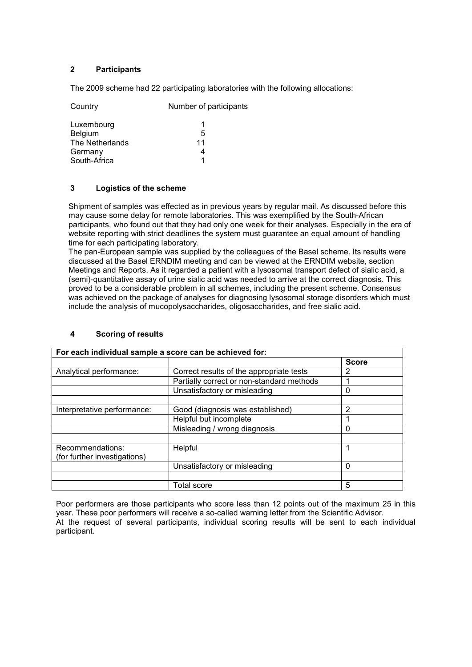# **2 Participants**

The 2009 scheme had 22 participating laboratories with the following allocations:

| Number of participants |  |  |
|------------------------|--|--|
| 1                      |  |  |
| 5                      |  |  |
| 11                     |  |  |
| 4                      |  |  |
| 1                      |  |  |
|                        |  |  |

# **3 Logistics of the scheme**

Shipment of samples was effected as in previous years by regular mail. As discussed before this may cause some delay for remote laboratories. This was exemplified by the South-African participants, who found out that they had only one week for their analyses. Especially in the era of website reporting with strict deadlines the system must guarantee an equal amount of handling time for each participating laboratory.

The pan-European sample was supplied by the colleagues of the Basel scheme. Its results were discussed at the Basel ERNDIM meeting and can be viewed at the ERNDIM website, section Meetings and Reports. As it regarded a patient with a lysosomal transport defect of sialic acid, a (semi)-quantitative assay of urine sialic acid was needed to arrive at the correct diagnosis. This proved to be a considerable problem in all schemes, including the present scheme. Consensus was achieved on the package of analyses for diagnosing lysosomal storage disorders which must include the analysis of mucopolysaccharides, oligosaccharides, and free sialic acid.

| For each individual sample a score can be achieved for: |                                           |              |  |  |
|---------------------------------------------------------|-------------------------------------------|--------------|--|--|
|                                                         |                                           | <b>Score</b> |  |  |
| Analytical performance:                                 | Correct results of the appropriate tests  |              |  |  |
|                                                         | Partially correct or non-standard methods |              |  |  |
|                                                         | Unsatisfactory or misleading              | 0            |  |  |
|                                                         |                                           |              |  |  |
| Interpretative performance:                             | Good (diagnosis was established)          | っ            |  |  |
|                                                         | Helpful but incomplete                    |              |  |  |
|                                                         | Misleading / wrong diagnosis              | 0            |  |  |
|                                                         |                                           |              |  |  |
| Recommendations:                                        | Helpful                                   |              |  |  |
| (for further investigations)                            |                                           |              |  |  |
|                                                         | Unsatisfactory or misleading              | 0            |  |  |
|                                                         |                                           |              |  |  |
|                                                         | Total score                               | 5            |  |  |

## **4 Scoring of results**

Poor performers are those participants who score less than 12 points out of the maximum 25 in this year. These poor performers will receive a so-called warning letter from the Scientific Advisor. At the request of several participants, individual scoring results will be sent to each individual participant.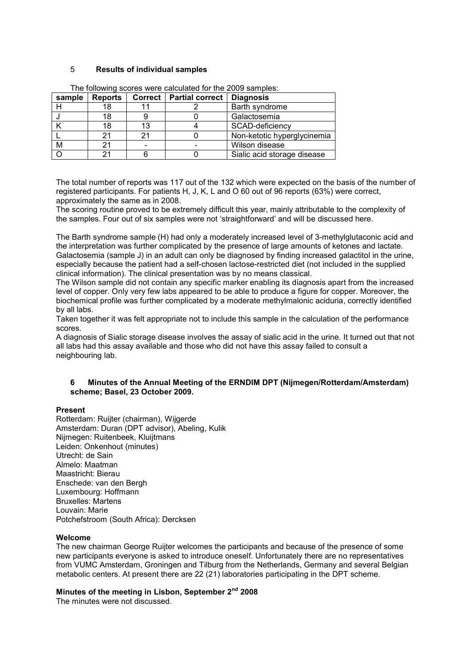#### 5 **Results of individual samples**

| sample | <b>Reports</b> | Correct | <b>Partial correct</b> | <b>Diagnosis</b>            |
|--------|----------------|---------|------------------------|-----------------------------|
|        | 18             |         |                        | Barth syndrome              |
|        | 18             |         |                        | Galactosemia                |
|        | 18             | 13      |                        | SCAD-deficiency             |
|        | 21             | 21      |                        | Non-ketotic hyperglycinemia |
| M      | 21             |         |                        | Wilson disease              |
|        | 21             |         |                        | Sialic acid storage disease |

The following scores were calculated for the 2009 samples:

The total number of reports was 117 out of the 132 which were expected on the basis of the number of registered participants. For patients H, J, K, L and O 60 out of 96 reports (63%) were correct, approximately the same as in 2008.

The scoring routine proved to be extremely difficult this year, mainly attributable to the complexity of the samples. Four out of six samples were not 'straightforward' and will be discussed here.

The Barth syndrome sample (H) had only a moderately increased level of 3-methylglutaconic acid and the interpretation was further complicated by the presence of large amounts of ketones and lactate. Galactosemia (sample J) in an adult can only be diagnosed by finding increased galactitol in the urine, especially because the patient had a self-chosen lactose-restricted diet (not included in the supplied clinical information). The clinical presentation was by no means classical.

The Wilson sample did not contain any specific marker enabling its diagnosis apart from the increased level of copper. Only very few labs appeared to be able to produce a figure for copper. Moreover, the biochemical profile was further complicated by a moderate methylmalonic aciduria, correctly identified by all labs.

Taken together it was felt appropriate not to include this sample in the calculation of the performance scores.

A diagnosis of Sialic storage disease involves the assay of sialic acid in the urine. It turned out that not all labs had this assay available and those who did not have this assay failed to consult a neighbouring lab.

#### **6 Minutes of the Annual Meeting of the ERNDIM DPT (Nijmegen/Rotterdam/Amsterdam) scheme; Basel, 23 October 2009.**

#### **Present**

Rotterdam: Ruijter (chairman), Wijgerde Amsterdam: Duran (DPT advisor), Abeling, Kulik Nijmegen: Ruitenbeek, Kluijtmans Leiden: Onkenhout (minutes) Utrecht: de Sain Almelo: Maatman Maastricht: Bierau Enschede: van den Bergh Luxembourg: Hoffmann Bruxelles: Martens Louvain: Marie Potchefstroom (South Africa): Dercksen

#### **Welcome**

The new chairman George Ruijter welcomes the participants and because of the presence of some new participants everyone is asked to introduce oneself. Unfortunately there are no representatives from VUMC Amsterdam, Groningen and Tilburg from the Netherlands, Germany and several Belgian metabolic centers. At present there are 22 (21) laboratories participating in the DPT scheme.

# **Minutes of the meeting in Lisbon, September 2nd 2008**

The minutes were not discussed.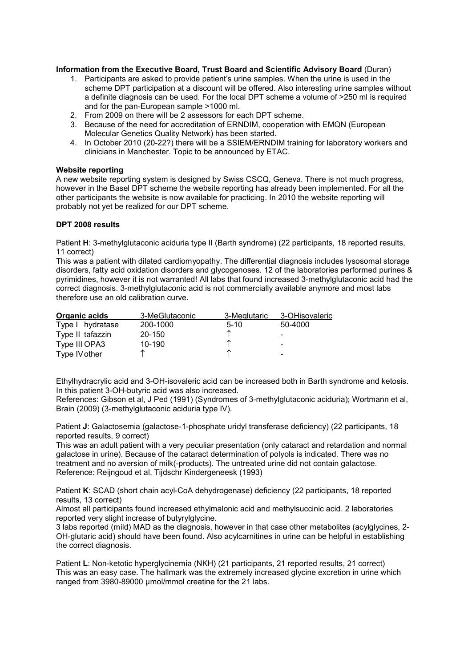#### **Information from the Executive Board, Trust Board and Scientific Advisory Board** (Duran)

- 1. Participants are asked to provide patient's urine samples. When the urine is used in the scheme DPT participation at a discount will be offered. Also interesting urine samples without a definite diagnosis can be used. For the local DPT scheme a volume of >250 ml is required and for the pan-European sample >1000 ml.
- 2. From 2009 on there will be 2 assessors for each DPT scheme.
- 3. Because of the need for accreditation of ERNDIM, cooperation with EMQN (European Molecular Genetics Quality Network) has been started.
- 4. In October 2010 (20-22?) there will be a SSIEM/ERNDIM training for laboratory workers and clinicians in Manchester. Topic to be announced by ETAC.

#### **Website reporting**

A new website reporting system is designed by Swiss CSCQ, Geneva. There is not much progress, however in the Basel DPT scheme the website reporting has already been implemented. For all the other participants the website is now available for practicing. In 2010 the website reporting will probably not yet be realized for our DPT scheme.

## **DPT 2008 results**

Patient **H**: 3-methylglutaconic aciduria type II (Barth syndrome) (22 participants, 18 reported results, 11 correct)

This was a patient with dilated cardiomyopathy. The differential diagnosis includes lysosomal storage disorders, fatty acid oxidation disorders and glycogenoses. 12 of the laboratories performed purines & pyrimidines, however it is not warranted! All labs that found increased 3-methylglutaconic acid had the correct diagnosis. 3-methylglutaconic acid is not commercially available anymore and most labs therefore use an old calibration curve.

| Organic acids    | 3-MeGlutaconic | 3-Meglutaric | 3-OHisovaleric           |
|------------------|----------------|--------------|--------------------------|
| Type I hydratase | 200-1000       | $5-10$       | 50-4000                  |
| Type II tafazzin | 20-150         | ∧            | -                        |
| Type III OPA3    | $10-190$       | ∧            | $\overline{\phantom{0}}$ |
| Type IV other    |                | ^            | $\overline{\phantom{0}}$ |

Ethylhydracrylic acid and 3-OH-isovaleric acid can be increased both in Barth syndrome and ketosis. In this patient 3-OH-butyric acid was also increased.

References: Gibson et al, J Ped (1991) (Syndromes of 3-methylglutaconic aciduria); Wortmann et al, Brain (2009) (3-methylglutaconic aciduria type IV).

Patient **J**: Galactosemia (galactose-1-phosphate uridyl transferase deficiency) (22 participants, 18 reported results, 9 correct)

This was an adult patient with a very peculiar presentation (only cataract and retardation and normal galactose in urine). Because of the cataract determination of polyols is indicated. There was no treatment and no aversion of milk(-products). The untreated urine did not contain galactose. Reference: Reijngoud et al, Tijdschr Kindergeneesk (1993)

Patient **K**: SCAD (short chain acyl-CoA dehydrogenase) deficiency (22 participants, 18 reported results, 13 correct)

Almost all participants found increased ethylmalonic acid and methylsuccinic acid. 2 laboratories reported very slight increase of butyrylglycine.

3 labs reported (mild) MAD as the diagnosis, however in that case other metabolites (acylglycines, 2- OH-glutaric acid) should have been found. Also acylcarnitines in urine can be helpful in establishing the correct diagnosis.

Patient **L**: Non-ketotic hyperglycinemia (NKH) (21 participants, 21 reported results, 21 correct) This was an easy case. The hallmark was the extremely increased glycine excretion in urine which ranged from 3980-89000 µmol/mmol creatine for the 21 labs.